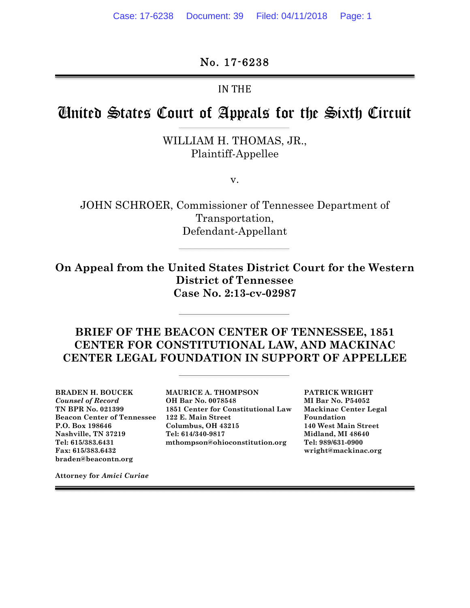No. 17-6238

IN THE

# United States Court of Appeals for the Sixth Circuit

WILLIAM H. THOMAS, JR., Plaintiff-Appellee

v.

JOHN SCHROER, Commissioner of Tennessee Department of Transportation, Defendant-Appellant

**On Appeal from the United States District Court for the Western District of Tennessee Case No. 2:13-cv-02987**

**BRIEF OF THE BEACON CENTER OF TENNESSEE, 1851 CENTER FOR CONSTITUTIONAL LAW, AND MACKINAC CENTER LEGAL FOUNDATION IN SUPPORT OF APPELLEE**

**Fax: 615/383.6432 wright@mackinac.org braden@beacontn.org**

**BRADEN H. BOUCEK MAURICE A. THOMPSON PATRICK WRIGHT** *Counsel of Record* **OH Bar No. 0078548 MI Bar No. P54052 TN BPR No. 021399 1851 Center for Constitutional Law Mackinac Center Legal Beacon Center of Tennessee 122 E. Main Street Foundation P.O. Box 198646 Columbus, OH 43215 140 West Main Street Nashville, TN 37219 Tel: 614/340-9817 Midland, MI 48640 Tel: 615/383.6431 mthompson@ohioconstitution.org Tel: 989/631-0900**

**Attorney for** *Amici Curiae*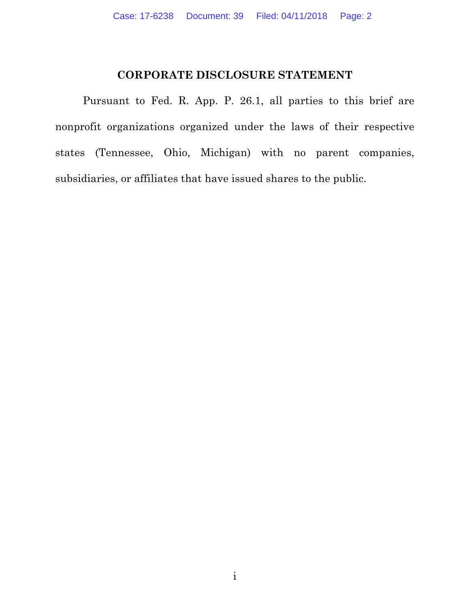### **CORPORATE DISCLOSURE STATEMENT**

Pursuant to Fed. R. App. P. 26.1, all parties to this brief are nonprofit organizations organized under the laws of their respective states (Tennessee, Ohio, Michigan) with no parent companies, subsidiaries, or affiliates that have issued shares to the public.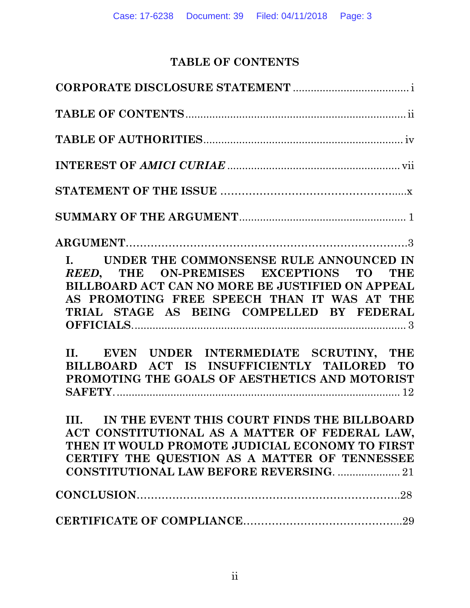## **TABLE OF CONTENTS**

| I. UNDER THE COMMONSENSE RULE ANNOUNCED IN<br>REED, THE ON-PREMISES EXCEPTIONS TO THE<br>BILLBOARD ACT CAN NO MORE BE JUSTIFIED ON APPEAL<br>AS PROMOTING FREE SPEECH THAN IT WAS AT THE<br>TRIAL STAGE AS BEING COMPELLED BY FEDERAL<br>II. EVEN UNDER INTERMEDIATE SCRUTINY, THE<br>BILLBOARD ACT IS INSUFFICIENTLY TAILORED TO<br>PROMOTING THE GOALS OF AESTHETICS AND MOTORIST |
|-------------------------------------------------------------------------------------------------------------------------------------------------------------------------------------------------------------------------------------------------------------------------------------------------------------------------------------------------------------------------------------|
| III. IN THE EVENT THIS COURT FINDS THE BILLBOARD<br>ACT CONSTITUTIONAL AS A MATTER OF FEDERAL LAW,<br>THEN IT WOULD PROMOTE JUDICIAL ECONOMY TO FIRST<br>CERTIFY THE QUESTION AS A MATTER OF TENNESSEE<br><b>CONSTITUTIONAL LAW BEFORE REVERSING.  21</b>                                                                                                                           |
|                                                                                                                                                                                                                                                                                                                                                                                     |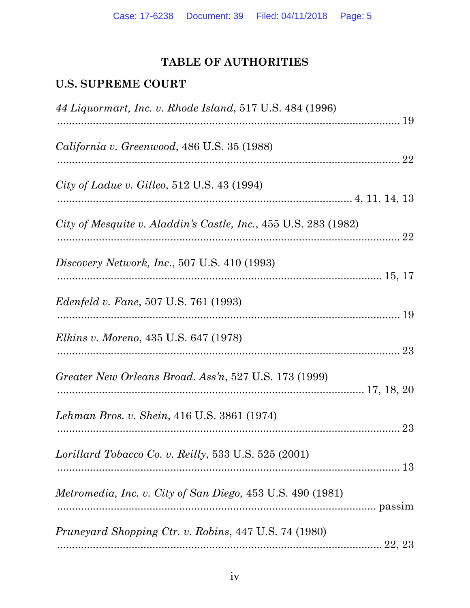## TABLE OF AUTHORITIES

## **U.S. SUPREME COURT**

| 44 Liquormart, Inc. v. Rhode Island, 517 U.S. 484 (1996)          |    |
|-------------------------------------------------------------------|----|
| California v. Greenwood, 486 U.S. 35 (1988)                       | 22 |
| City of Ladue v. Gilleo, $512$ U.S. $43$ (1994)                   |    |
| City of Mesquite v. Aladdin's Castle, Inc., 455 U.S. 283 (1982)   | 22 |
| Discovery Network, Inc., 507 U.S. 410 (1993)                      |    |
| <i>Edenfeld v. Fane</i> , 507 U.S. 761 (1993)                     |    |
| <i>Elkins v. Moreno, 435 U.S. 647 (1978)</i>                      |    |
| Greater New Orleans Broad. Ass'n, 527 U.S. 173 (1999)             |    |
| Lehman Bros. v. Shein, 416 U.S. 3861 (1974)                       |    |
| Lorillard Tobacco Co. v. Reilly, 533 U.S. 525 $(2001)$            |    |
| <i>Metromedia, Inc. v. City of San Diego,</i> 453 U.S. 490 (1981) |    |
| <i>Pruneyard Shopping Ctr. v. Robins, 447 U.S. 74 (1980)</i>      |    |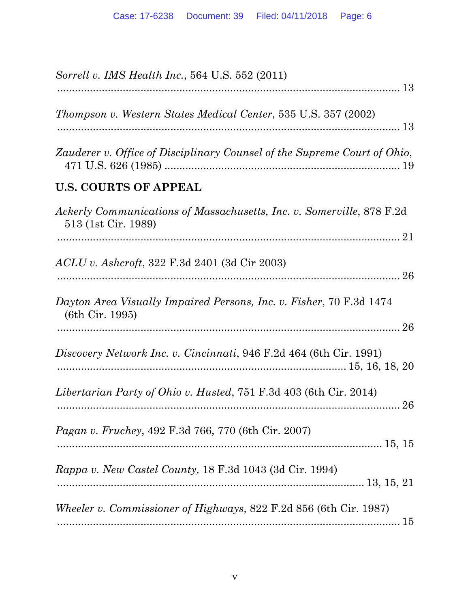| Sorrell v. IMS Health Inc., 564 U.S. 552 (2011)                                              |
|----------------------------------------------------------------------------------------------|
| Thompson v. Western States Medical Center, 535 U.S. 357 (2002)                               |
| Zauderer v. Office of Disciplinary Counsel of the Supreme Court of Ohio,                     |
| <b>U.S. COURTS OF APPEAL</b>                                                                 |
| Ackerly Communications of Massachusetts, Inc. v. Somerville, 878 F.2d<br>513 (1st Cir. 1989) |
|                                                                                              |
| <i>ACLU v. Ashcroft, 322 F.3d 2401 (3d Cir 2003)</i>                                         |
| Dayton Area Visually Impaired Persons, Inc. v. Fisher, 70 F.3d 1474<br>(6th Cir. 1995)       |
| Discovery Network Inc. v. Cincinnati, 946 F.2d 464 (6th Cir. 1991)                           |
| Libertarian Party of Ohio v. Husted, 751 F.3d 403 (6th Cir. 2014)<br>26                      |
| <i>Pagan v. Fruchey</i> , 492 F.3d 766, 770 (6th Cir. 2007)                                  |
| Rappa v. New Castel County, 18 F.3d 1043 (3d Cir. 1994)                                      |
| Wheeler v. Commissioner of Highways, 822 F.2d 856 (6th Cir. 1987)                            |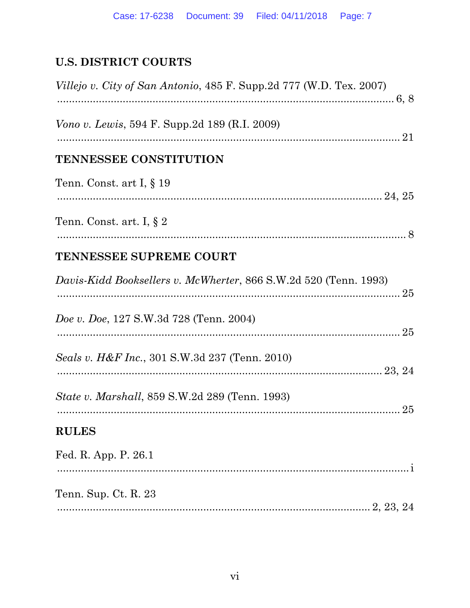# **U.S. DISTRICT COURTS**

| <i>Villejo v. City of San Antonio, 485 F. Supp.2d 777 (W.D. Tex. 2007)</i> |  |
|----------------------------------------------------------------------------|--|
| <i>Vono v. Lewis</i> , 594 F. Supp. 2d 189 (R.I. 2009)                     |  |
| <b>TENNESSEE CONSTITUTION</b>                                              |  |
| Tenn. Const. art I, $\S$ 19                                                |  |
| Tenn. Const. art. I, $\S 2$                                                |  |
| TENNESSEE SUPREME COURT                                                    |  |
| Davis-Kidd Booksellers v. McWherter, 866 S.W.2d 520 (Tenn. 1993)           |  |
| <i>Doe v. Doe, 127 S.W.3d 728 (Tenn. 2004)</i>                             |  |
| Seals v. H&F Inc., 301 S.W.3d 237 (Tenn. 2010)                             |  |
| <i>State v. Marshall, 859 S.W.2d 289 (Tenn. 1993)</i>                      |  |
| <b>RULES</b>                                                               |  |
| Fed. R. App. P. 26.1                                                       |  |
| Tenn. Sup. Ct. R. 23                                                       |  |
|                                                                            |  |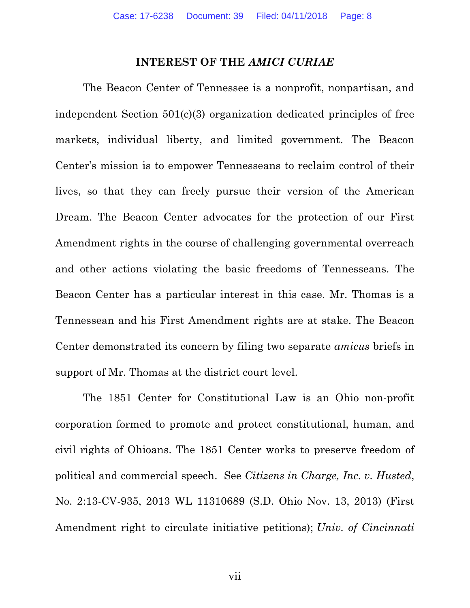#### **INTEREST OF THE** *AMICI CURIAE*

The Beacon Center of Tennessee is a nonprofit, nonpartisan, and independent Section 501(c)(3) organization dedicated principles of free markets, individual liberty, and limited government. The Beacon Center's mission is to empower Tennesseans to reclaim control of their lives, so that they can freely pursue their version of the American Dream. The Beacon Center advocates for the protection of our First Amendment rights in the course of challenging governmental overreach and other actions violating the basic freedoms of Tennesseans. The Beacon Center has a particular interest in this case. Mr. Thomas is a Tennessean and his First Amendment rights are at stake. The Beacon Center demonstrated its concern by filing two separate *amicus* briefs in support of Mr. Thomas at the district court level.

The 1851 Center for Constitutional Law is an Ohio non-profit corporation formed to promote and protect constitutional, human, and civil rights of Ohioans. The 1851 Center works to preserve freedom of political and commercial speech. See *Citizens in Charge, Inc. v. Husted*, No. 2:13-CV-935, 2013 WL 11310689 (S.D. Ohio Nov. 13, 2013) (First Amendment right to circulate initiative petitions); *Univ. of Cincinnati* 

vii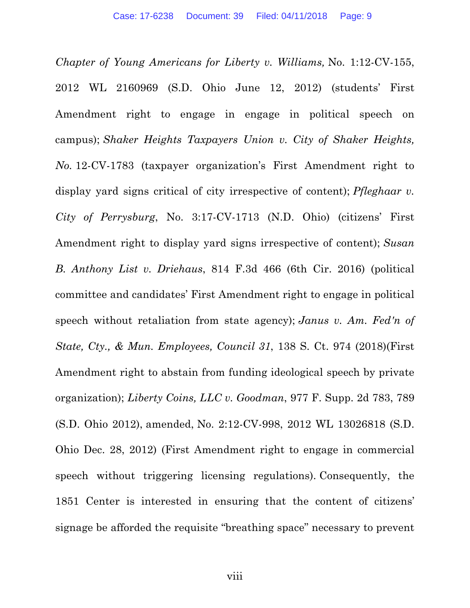*Chapter of Young Americans for Liberty v. Williams,* No. 1:12-CV-155, 2012 WL 2160969 (S.D. Ohio June 12, 2012) (students' First Amendment right to engage in engage in political speech on campus); *Shaker Heights Taxpayers Union v. City of Shaker Heights, No.* 12-CV-1783 (taxpayer organization's First Amendment right to display yard signs critical of city irrespective of content); *Pfleghaar v. City of Perrysburg*, No. 3:17-CV-1713 (N.D. Ohio) (citizens' First Amendment right to display yard signs irrespective of content); *Susan B. Anthony List v. Driehaus*, 814 F.3d 466 (6th Cir. 2016) (political committee and candidates' First Amendment right to engage in political speech without retaliation from state agency); *Janus v. Am. Fed'n of State, Cty., & Mun. Employees, Council 31*, 138 S. Ct. 974 (2018)(First Amendment right to abstain from funding ideological speech by private organization); *Liberty Coins, LLC v. Goodman*, 977 F. Supp. 2d 783, 789 (S.D. Ohio 2012), amended, No. 2:12-CV-998, 2012 WL 13026818 (S.D. Ohio Dec. 28, 2012) (First Amendment right to engage in commercial speech without triggering licensing regulations). Consequently, the 1851 Center is interested in ensuring that the content of citizens' signage be afforded the requisite "breathing space" necessary to prevent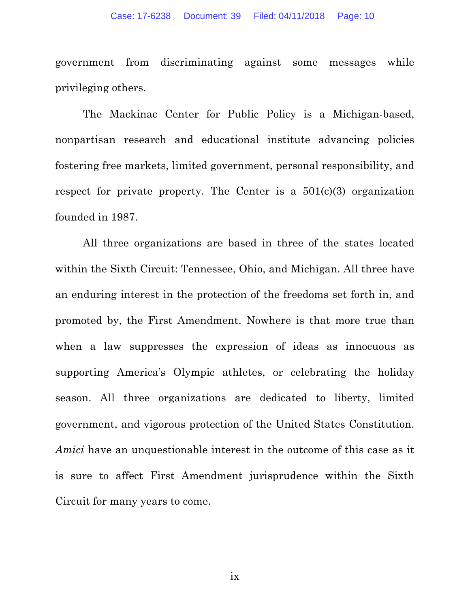government from discriminating against some messages while privileging others.

The Mackinac Center for Public Policy is a Michigan-based, nonpartisan research and educational institute advancing policies fostering free markets, limited government, personal responsibility, and respect for private property. The Center is a  $501(c)(3)$  organization founded in 1987.

All three organizations are based in three of the states located within the Sixth Circuit: Tennessee, Ohio, and Michigan. All three have an enduring interest in the protection of the freedoms set forth in, and promoted by, the First Amendment. Nowhere is that more true than when a law suppresses the expression of ideas as innocuous as supporting America's Olympic athletes, or celebrating the holiday season. All three organizations are dedicated to liberty, limited government, and vigorous protection of the United States Constitution. *Amici* have an unquestionable interest in the outcome of this case as it is sure to affect First Amendment jurisprudence within the Sixth Circuit for many years to come.

ix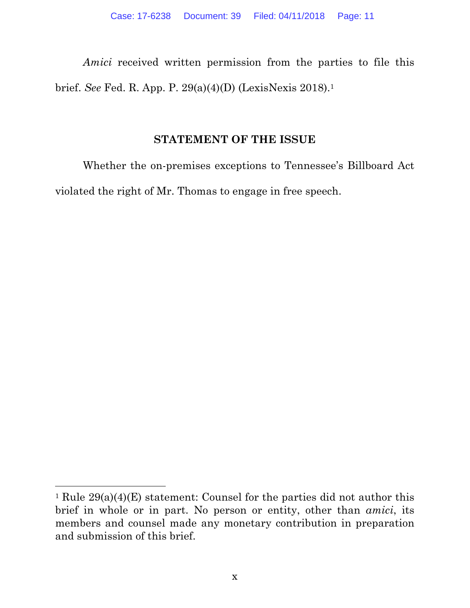*Amici* received written permission from the parties to file this brief. *See* Fed. R. App. P. 29(a)(4)(D) (LexisNexis 2018).1

### **STATEMENT OF THE ISSUE**

Whether the on-premises exceptions to Tennessee's Billboard Act violated the right of Mr. Thomas to engage in free speech.

<sup>&</sup>lt;sup>1</sup> Rule  $29(a)(4)(E)$  statement: Counsel for the parties did not author this brief in whole or in part. No person or entity, other than *amici*, its members and counsel made any monetary contribution in preparation and submission of this brief.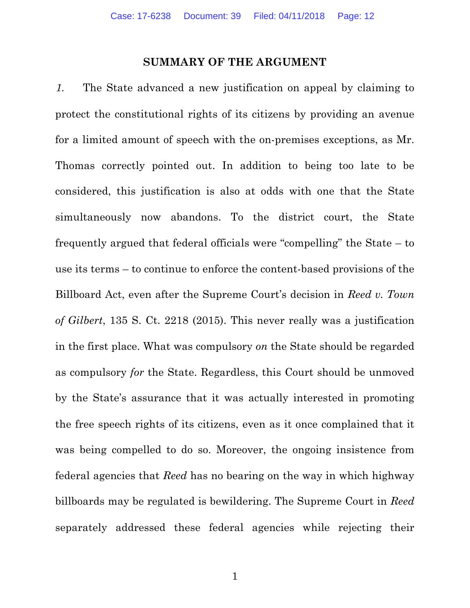#### **SUMMARY OF THE ARGUMENT**

1. The State advanced a new justification on appeal by claiming to protect the constitutional rights of its citizens by providing an avenue for a limited amount of speech with the on-premises exceptions, as Mr. Thomas correctly pointed out. In addition to being too late to be considered, this justification is also at odds with one that the State simultaneously now abandons. To the district court, the State frequently argued that federal officials were "compelling" the State – to use its terms – to continue to enforce the content-based provisions of the Billboard Act, even after the Supreme Court's decision in *Reed v. Town of Gilbert*, 135 S. Ct. 2218 (2015). This never really was a justification in the first place. What was compulsory *on* the State should be regarded as compulsory *for* the State. Regardless, this Court should be unmoved by the State's assurance that it was actually interested in promoting the free speech rights of its citizens, even as it once complained that it was being compelled to do so. Moreover, the ongoing insistence from federal agencies that *Reed* has no bearing on the way in which highway billboards may be regulated is bewildering. The Supreme Court in *Reed* separately addressed these federal agencies while rejecting their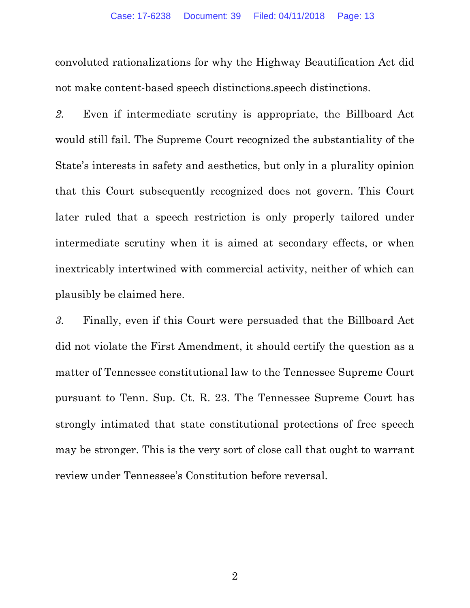convoluted rationalizations for why the Highway Beautification Act did not make content-based speech distinctions.speech distinctions.

*2.* Even if intermediate scrutiny is appropriate, the Billboard Act would still fail. The Supreme Court recognized the substantiality of the State's interests in safety and aesthetics, but only in a plurality opinion that this Court subsequently recognized does not govern. This Court later ruled that a speech restriction is only properly tailored under intermediate scrutiny when it is aimed at secondary effects, or when inextricably intertwined with commercial activity, neither of which can plausibly be claimed here.

*3.* Finally, even if this Court were persuaded that the Billboard Act did not violate the First Amendment, it should certify the question as a matter of Tennessee constitutional law to the Tennessee Supreme Court pursuant to Tenn. Sup. Ct. R. 23. The Tennessee Supreme Court has strongly intimated that state constitutional protections of free speech may be stronger. This is the very sort of close call that ought to warrant review under Tennessee's Constitution before reversal.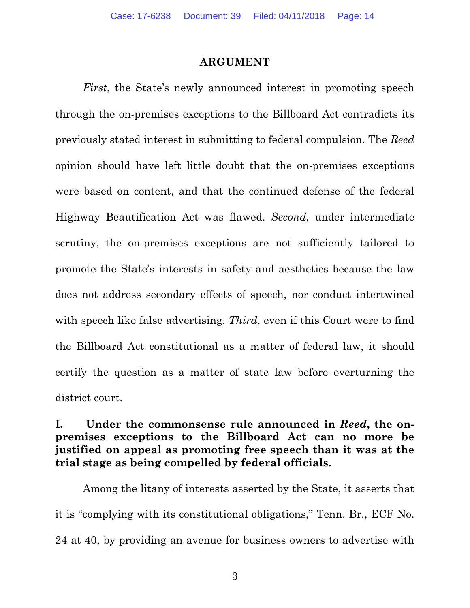#### **ARGUMENT**

*First*, the State's newly announced interest in promoting speech through the on-premises exceptions to the Billboard Act contradicts its previously stated interest in submitting to federal compulsion. The *Reed* opinion should have left little doubt that the on-premises exceptions were based on content, and that the continued defense of the federal Highway Beautification Act was flawed. *Second*, under intermediate scrutiny, the on-premises exceptions are not sufficiently tailored to promote the State's interests in safety and aesthetics because the law does not address secondary effects of speech, nor conduct intertwined with speech like false advertising. *Third*, even if this Court were to find the Billboard Act constitutional as a matter of federal law, it should certify the question as a matter of state law before overturning the district court.

## **I. Under the commonsense rule announced in** *Reed***, the onpremises exceptions to the Billboard Act can no more be justified on appeal as promoting free speech than it was at the trial stage as being compelled by federal officials.**

Among the litany of interests asserted by the State, it asserts that it is "complying with its constitutional obligations," Tenn. Br., ECF No. 24 at 40, by providing an avenue for business owners to advertise with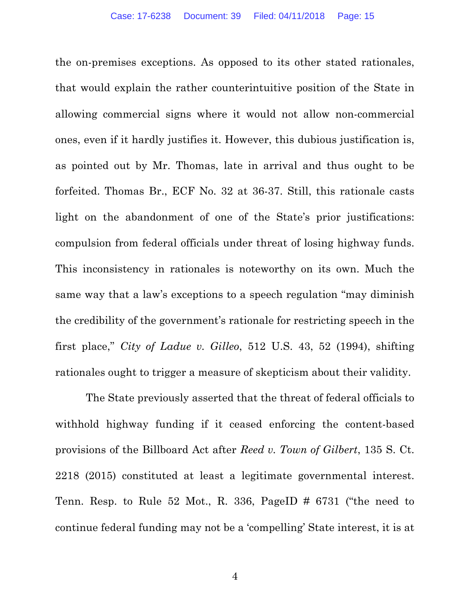the on-premises exceptions. As opposed to its other stated rationales, that would explain the rather counterintuitive position of the State in allowing commercial signs where it would not allow non-commercial ones, even if it hardly justifies it. However, this dubious justification is, as pointed out by Mr. Thomas, late in arrival and thus ought to be forfeited. Thomas Br., ECF No. 32 at 36-37. Still, this rationale casts light on the abandonment of one of the State's prior justifications: compulsion from federal officials under threat of losing highway funds. This inconsistency in rationales is noteworthy on its own. Much the same way that a law's exceptions to a speech regulation "may diminish the credibility of the government's rationale for restricting speech in the first place," *City of Ladue v. Gilleo*, 512 U.S. 43, 52 (1994), shifting rationales ought to trigger a measure of skepticism about their validity.

The State previously asserted that the threat of federal officials to withhold highway funding if it ceased enforcing the content-based provisions of the Billboard Act after *Reed v. Town of Gilbert*, 135 S. Ct. 2218 (2015) constituted at least a legitimate governmental interest. Tenn. Resp. to Rule 52 Mot., R. 336, PageID # 6731 ("the need to continue federal funding may not be a 'compelling' State interest, it is at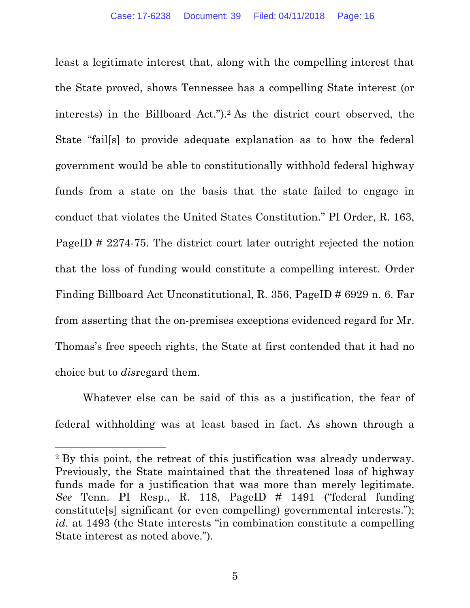least a legitimate interest that, along with the compelling interest that the State proved, shows Tennessee has a compelling State interest (or interests) in the Billboard Act.").2 As the district court observed, the State "fail[s] to provide adequate explanation as to how the federal government would be able to constitutionally withhold federal highway funds from a state on the basis that the state failed to engage in conduct that violates the United States Constitution." PI Order, R. 163, PageID # 2274-75. The district court later outright rejected the notion that the loss of funding would constitute a compelling interest. Order Finding Billboard Act Unconstitutional, R. 356, PageID # 6929 n. 6. Far from asserting that the on-premises exceptions evidenced regard for Mr. Thomas's free speech rights, the State at first contended that it had no choice but to *dis*regard them.

Whatever else can be said of this as a justification, the fear of federal withholding was at least based in fact. As shown through a

 $\overline{a}$ 

<sup>2</sup> By this point, the retreat of this justification was already underway. Previously, the State maintained that the threatened loss of highway funds made for a justification that was more than merely legitimate. *See* Tenn. PI Resp., R. 118, PageID # 1491 ("federal funding constitute[s] significant (or even compelling) governmental interests."); *id*. at 1493 (the State interests "in combination constitute a compelling State interest as noted above.").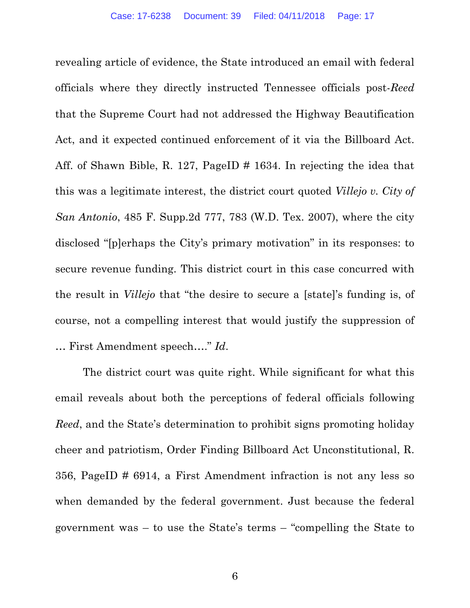revealing article of evidence, the State introduced an email with federal officials where they directly instructed Tennessee officials post-*Reed* that the Supreme Court had not addressed the Highway Beautification Act, and it expected continued enforcement of it via the Billboard Act. Aff. of Shawn Bible, R. 127, PageID # 1634. In rejecting the idea that this was a legitimate interest, the district court quoted *Villejo v. City of San Antonio*, 485 F. Supp.2d 777, 783 (W.D. Tex. 2007), where the city disclosed "[p]erhaps the City's primary motivation" in its responses: to secure revenue funding. This district court in this case concurred with the result in *Villejo* that "the desire to secure a [state]'s funding is, of course, not a compelling interest that would justify the suppression of … First Amendment speech…." *Id*.

The district court was quite right. While significant for what this email reveals about both the perceptions of federal officials following *Reed*, and the State's determination to prohibit signs promoting holiday cheer and patriotism, Order Finding Billboard Act Unconstitutional, R. 356, PageID # 6914, a First Amendment infraction is not any less so when demanded by the federal government. Just because the federal government was – to use the State's terms – "compelling the State to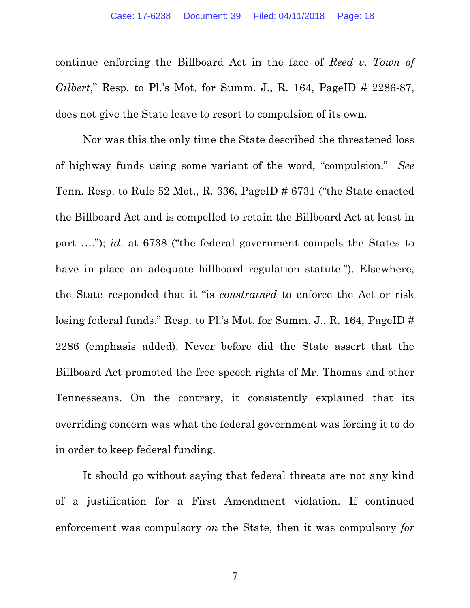continue enforcing the Billboard Act in the face of *Reed v. Town of Gilbert*," Resp. to Pl.'s Mot. for Summ. J., R. 164, PageID # 2286-87, does not give the State leave to resort to compulsion of its own.

Nor was this the only time the State described the threatened loss of highway funds using some variant of the word, "compulsion." *See* Tenn. Resp. to Rule 52 Mot., R. 336, PageID # 6731 ("the State enacted the Billboard Act and is compelled to retain the Billboard Act at least in part …."); *id*. at 6738 ("the federal government compels the States to have in place an adequate billboard regulation statute."). Elsewhere, the State responded that it "is *constrained* to enforce the Act or risk losing federal funds." Resp. to Pl.'s Mot. for Summ. J., R. 164, PageID # 2286 (emphasis added). Never before did the State assert that the Billboard Act promoted the free speech rights of Mr. Thomas and other Tennesseans. On the contrary, it consistently explained that its overriding concern was what the federal government was forcing it to do in order to keep federal funding.

It should go without saying that federal threats are not any kind of a justification for a First Amendment violation. If continued enforcement was compulsory *on* the State, then it was compulsory *for*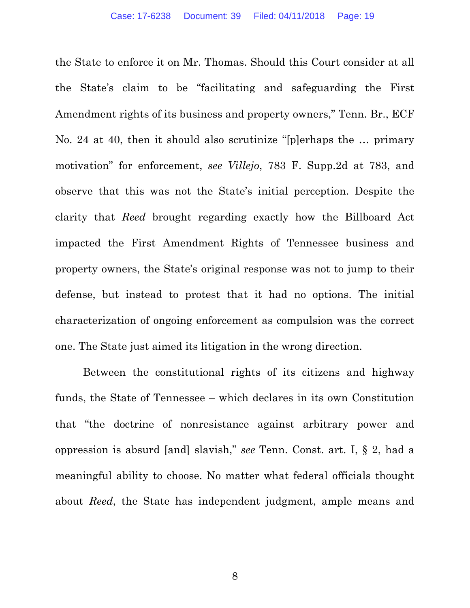the State to enforce it on Mr. Thomas. Should this Court consider at all the State's claim to be "facilitating and safeguarding the First Amendment rights of its business and property owners," Tenn. Br., ECF No. 24 at 40, then it should also scrutinize "[p]erhaps the … primary motivation" for enforcement, *see Villejo*, 783 F. Supp.2d at 783, and observe that this was not the State's initial perception. Despite the clarity that *Reed* brought regarding exactly how the Billboard Act impacted the First Amendment Rights of Tennessee business and property owners, the State's original response was not to jump to their defense, but instead to protest that it had no options. The initial characterization of ongoing enforcement as compulsion was the correct one. The State just aimed its litigation in the wrong direction.

Between the constitutional rights of its citizens and highway funds, the State of Tennessee – which declares in its own Constitution that "the doctrine of nonresistance against arbitrary power and oppression is absurd [and] slavish," *see* Tenn. Const. art. I, § 2, had a meaningful ability to choose. No matter what federal officials thought about *Reed*, the State has independent judgment, ample means and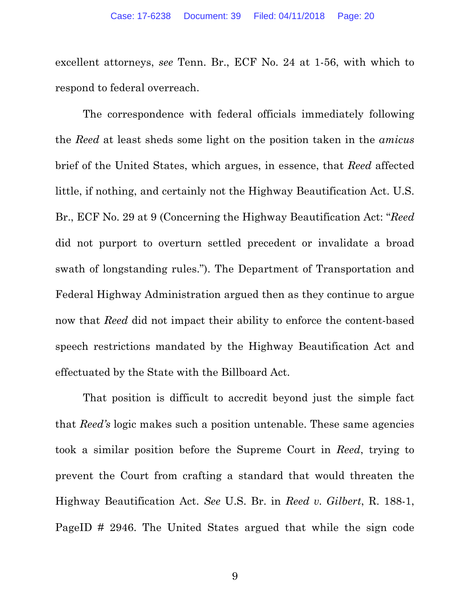excellent attorneys, *see* Tenn. Br., ECF No. 24 at 1-56, with which to respond to federal overreach.

The correspondence with federal officials immediately following the *Reed* at least sheds some light on the position taken in the *amicus* brief of the United States, which argues, in essence, that *Reed* affected little, if nothing, and certainly not the Highway Beautification Act. U.S. Br., ECF No. 29 at 9 (Concerning the Highway Beautification Act: "*Reed* did not purport to overturn settled precedent or invalidate a broad swath of longstanding rules."). The Department of Transportation and Federal Highway Administration argued then as they continue to argue now that *Reed* did not impact their ability to enforce the content-based speech restrictions mandated by the Highway Beautification Act and effectuated by the State with the Billboard Act.

That position is difficult to accredit beyond just the simple fact that *Reed's* logic makes such a position untenable. These same agencies took a similar position before the Supreme Court in *Reed*, trying to prevent the Court from crafting a standard that would threaten the Highway Beautification Act. *See* U.S. Br. in *Reed v. Gilbert*, R. 188-1, PageID # 2946. The United States argued that while the sign code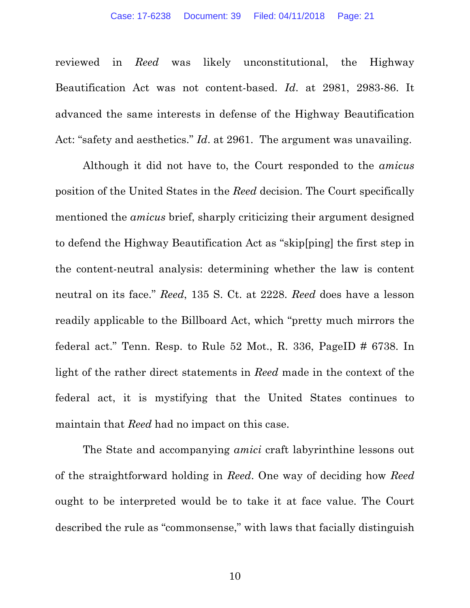reviewed in *Reed* was likely unconstitutional, the Highway Beautification Act was not content-based. *Id*. at 2981, 2983-86. It advanced the same interests in defense of the Highway Beautification Act: "safety and aesthetics." *Id*. at 2961. The argument was unavailing.

Although it did not have to, the Court responded to the *amicus* position of the United States in the *Reed* decision. The Court specifically mentioned the *amicus* brief, sharply criticizing their argument designed to defend the Highway Beautification Act as "skip[ping] the first step in the content-neutral analysis: determining whether the law is content neutral on its face." *Reed*, 135 S. Ct. at 2228. *Reed* does have a lesson readily applicable to the Billboard Act, which "pretty much mirrors the federal act." Tenn. Resp. to Rule  $52$  Mot., R.  $336$ , PageID  $\#$  6738. In light of the rather direct statements in *Reed* made in the context of the federal act, it is mystifying that the United States continues to maintain that *Reed* had no impact on this case.

The State and accompanying *amici* craft labyrinthine lessons out of the straightforward holding in *Reed*. One way of deciding how *Reed* ought to be interpreted would be to take it at face value. The Court described the rule as "commonsense," with laws that facially distinguish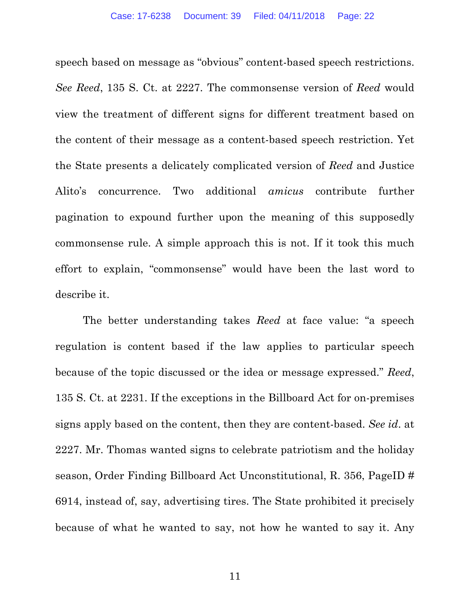speech based on message as "obvious" content-based speech restrictions. *See Reed*, 135 S. Ct. at 2227. The commonsense version of *Reed* would view the treatment of different signs for different treatment based on the content of their message as a content-based speech restriction. Yet the State presents a delicately complicated version of *Reed* and Justice Alito's concurrence. Two additional *amicus* contribute further pagination to expound further upon the meaning of this supposedly commonsense rule. A simple approach this is not. If it took this much effort to explain, "commonsense" would have been the last word to describe it.

The better understanding takes *Reed* at face value: "a speech regulation is content based if the law applies to particular speech because of the topic discussed or the idea or message expressed." *Reed*, 135 S. Ct. at 2231. If the exceptions in the Billboard Act for on-premises signs apply based on the content, then they are content-based. *See id*. at 2227. Mr. Thomas wanted signs to celebrate patriotism and the holiday season, Order Finding Billboard Act Unconstitutional, R. 356, PageID # 6914, instead of, say, advertising tires. The State prohibited it precisely because of what he wanted to say, not how he wanted to say it. Any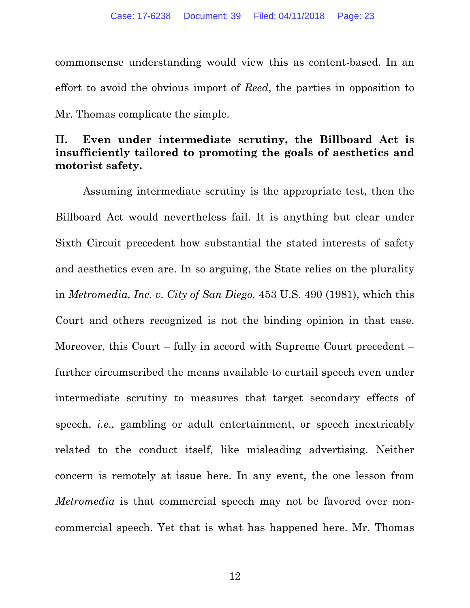commonsense understanding would view this as content-based. In an effort to avoid the obvious import of *Reed*, the parties in opposition to Mr. Thomas complicate the simple.

## **II. Even under intermediate scrutiny, the Billboard Act is insufficiently tailored to promoting the goals of aesthetics and motorist safety.**

Assuming intermediate scrutiny is the appropriate test, then the Billboard Act would nevertheless fail. It is anything but clear under Sixth Circuit precedent how substantial the stated interests of safety and aesthetics even are. In so arguing, the State relies on the plurality in *Metromedia, Inc. v. City of San Diego,* 453 U.S. 490 (1981), which this Court and others recognized is not the binding opinion in that case. Moreover, this Court – fully in accord with Supreme Court precedent – further circumscribed the means available to curtail speech even under intermediate scrutiny to measures that target secondary effects of speech, *i.e*., gambling or adult entertainment, or speech inextricably related to the conduct itself, like misleading advertising. Neither concern is remotely at issue here. In any event, the one lesson from *Metromedia* is that commercial speech may not be favored over noncommercial speech. Yet that is what has happened here. Mr. Thomas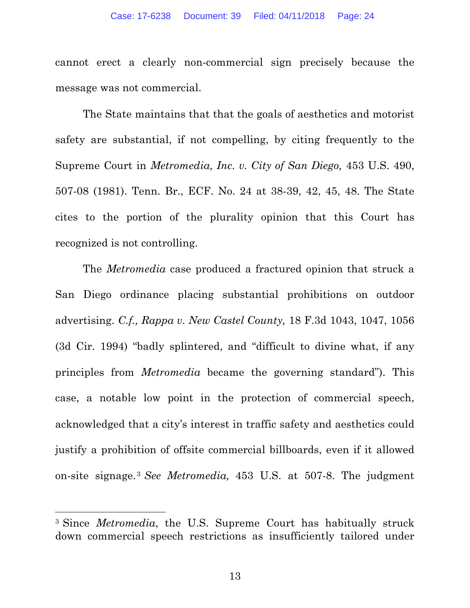cannot erect a clearly non-commercial sign precisely because the message was not commercial.

The State maintains that that the goals of aesthetics and motorist safety are substantial, if not compelling, by citing frequently to the Supreme Court in *Metromedia, Inc. v. City of San Diego,* 453 U.S. 490, 507-08 (1981). Tenn. Br., ECF. No. 24 at 38-39, 42, 45, 48. The State cites to the portion of the plurality opinion that this Court has recognized is not controlling.

The *Metromedia* case produced a fractured opinion that struck a San Diego ordinance placing substantial prohibitions on outdoor advertising. *C.f., Rappa v. New Castel County,* 18 F.3d 1043, 1047, 1056 (3d Cir. 1994) "badly splintered, and "difficult to divine what, if any principles from *Metromedia* became the governing standard"). This case, a notable low point in the protection of commercial speech, acknowledged that a city's interest in traffic safety and aesthetics could justify a prohibition of offsite commercial billboards, even if it allowed on-site signage.3 *See Metromedia,* 453 U.S. at 507-8. The judgment

<sup>3</sup> Since *Metromedia*, the U.S. Supreme Court has habitually struck down commercial speech restrictions as insufficiently tailored under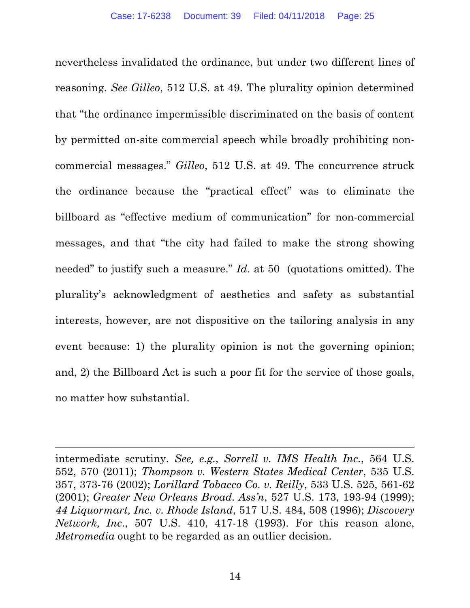nevertheless invalidated the ordinance, but under two different lines of reasoning. *See Gilleo*, 512 U.S. at 49. The plurality opinion determined that "the ordinance impermissible discriminated on the basis of content by permitted on-site commercial speech while broadly prohibiting noncommercial messages." *Gilleo*, 512 U.S. at 49. The concurrence struck the ordinance because the "practical effect" was to eliminate the billboard as "effective medium of communication" for non-commercial messages, and that "the city had failed to make the strong showing needed" to justify such a measure." *Id*. at 50 (quotations omitted). The plurality's acknowledgment of aesthetics and safety as substantial interests, however, are not dispositive on the tailoring analysis in any event because: 1) the plurality opinion is not the governing opinion; and, 2) the Billboard Act is such a poor fit for the service of those goals, no matter how substantial.

intermediate scrutiny. *See, e.g., Sorrell v. IMS Health Inc.*, 564 U.S. 552, 570 (2011); *Thompson v. Western States Medical Center*, 535 U.S. 357, 373-76 (2002); *Lorillard Tobacco Co. v. Reilly*, 533 U.S. 525, 561-62 (2001); *Greater New Orleans Broad. Ass'n*, 527 U.S. 173, 193-94 (1999); *44 Liquormart, Inc. v. Rhode Island*, 517 U.S. 484, 508 (1996); *Discovery Network, Inc*., 507 U.S. 410, 417-18 (1993). For this reason alone, *Metromedia* ought to be regarded as an outlier decision.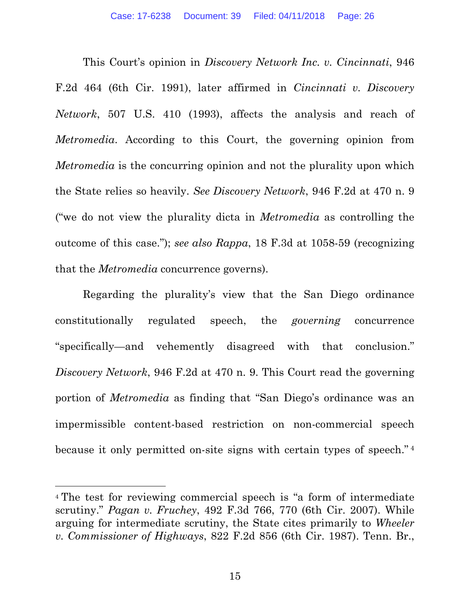This Court's opinion in *Discovery Network Inc. v. Cincinnati*, 946 F.2d 464 (6th Cir. 1991), later affirmed in *Cincinnati v. Discovery Network*, 507 U.S. 410 (1993), affects the analysis and reach of *Metromedia*. According to this Court, the governing opinion from *Metromedia* is the concurring opinion and not the plurality upon which the State relies so heavily. *See Discovery Network*, 946 F.2d at 470 n. 9 ("we do not view the plurality dicta in *Metromedia* as controlling the outcome of this case."); *see also Rappa*, 18 F.3d at 1058-59 (recognizing that the *Metromedia* concurrence governs).

Regarding the plurality's view that the San Diego ordinance constitutionally regulated speech, the *governing* concurrence "specifically—and vehemently disagreed with that conclusion." *Discovery Network*, 946 F.2d at 470 n. 9. This Court read the governing portion of *Metromedia* as finding that "San Diego's ordinance was an impermissible content-based restriction on non-commercial speech because it only permitted on-site signs with certain types of speech." <sup>4</sup>

<sup>4</sup> The test for reviewing commercial speech is "a form of intermediate scrutiny." *Pagan v. Fruchey*, 492 F.3d 766, 770 (6th Cir. 2007). While arguing for intermediate scrutiny, the State cites primarily to *Wheeler v. Commissioner of Highways*, 822 F.2d 856 (6th Cir. 1987). Tenn. Br.,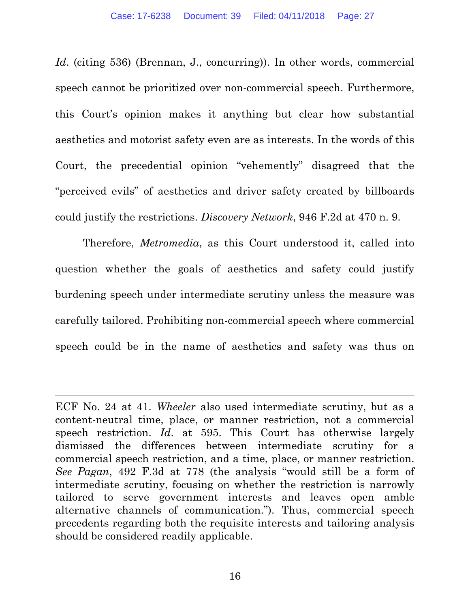*Id.* (citing 536) (Brennan, J., concurring)). In other words, commercial speech cannot be prioritized over non-commercial speech. Furthermore, this Court's opinion makes it anything but clear how substantial aesthetics and motorist safety even are as interests. In the words of this Court, the precedential opinion "vehemently" disagreed that the "perceived evils" of aesthetics and driver safety created by billboards could justify the restrictions. *Discovery Network*, 946 F.2d at 470 n. 9.

Therefore, *Metromedia*, as this Court understood it, called into question whether the goals of aesthetics and safety could justify burdening speech under intermediate scrutiny unless the measure was carefully tailored. Prohibiting non-commercial speech where commercial speech could be in the name of aesthetics and safety was thus on

ECF No. 24 at 41. *Wheeler* also used intermediate scrutiny, but as a content-neutral time, place, or manner restriction, not a commercial speech restriction. *Id*. at 595. This Court has otherwise largely dismissed the differences between intermediate scrutiny for a commercial speech restriction, and a time, place, or manner restriction. *See Pagan*, 492 F.3d at 778 (the analysis "would still be a form of intermediate scrutiny, focusing on whether the restriction is narrowly tailored to serve government interests and leaves open amble alternative channels of communication."). Thus, commercial speech precedents regarding both the requisite interests and tailoring analysis should be considered readily applicable.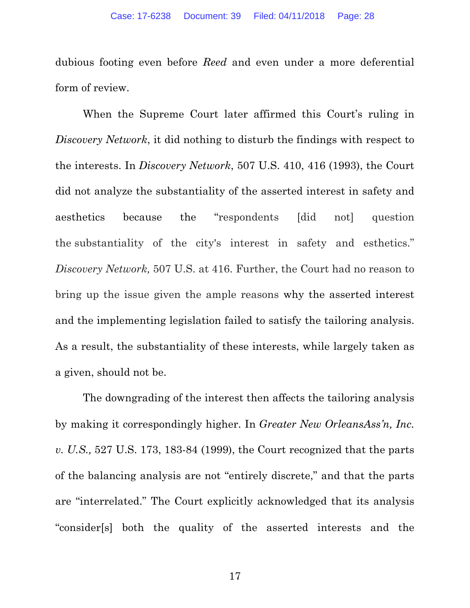dubious footing even before *Reed* and even under a more deferential form of review.

When the Supreme Court later affirmed this Court's ruling in *Discovery Network*, it did nothing to disturb the findings with respect to the interests. In *Discovery Network*, 507 U.S. 410, 416 (1993), the Court did not analyze the substantiality of the asserted interest in safety and aesthetics because the "respondents [did not] question the substantiality of the city's interest in safety and esthetics." *Discovery Network,* 507 U.S. at 416. Further, the Court had no reason to bring up the issue given the ample reasons why the asserted interest and the implementing legislation failed to satisfy the tailoring analysis. As a result, the substantiality of these interests, while largely taken as a given, should not be.

The downgrading of the interest then affects the tailoring analysis by making it correspondingly higher. In *Greater New OrleansAss'n, Inc. v. U.S.,* 527 U.S. 173, 183-84 (1999), the Court recognized that the parts of the balancing analysis are not "entirely discrete," and that the parts are "interrelated." The Court explicitly acknowledged that its analysis "consider[s] both the quality of the asserted interests and the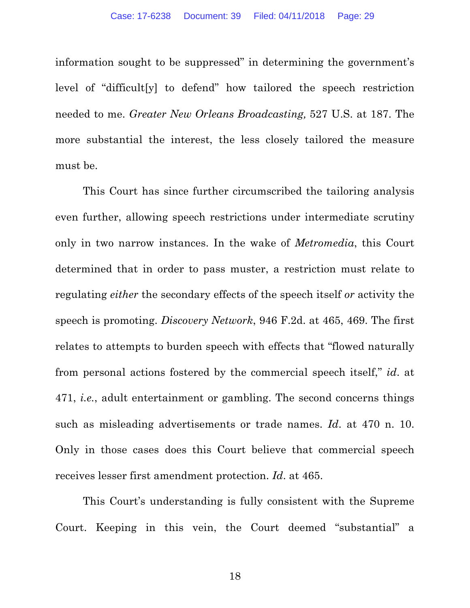information sought to be suppressed" in determining the government's level of "difficult[y] to defend" how tailored the speech restriction needed to me. *Greater New Orleans Broadcasting,* 527 U.S. at 187. The more substantial the interest, the less closely tailored the measure must be.

This Court has since further circumscribed the tailoring analysis even further, allowing speech restrictions under intermediate scrutiny only in two narrow instances. In the wake of *Metromedia*, this Court determined that in order to pass muster, a restriction must relate to regulating *either* the secondary effects of the speech itself *or* activity the speech is promoting. *Discovery Network*, 946 F.2d. at 465, 469. The first relates to attempts to burden speech with effects that "flowed naturally from personal actions fostered by the commercial speech itself," *id*. at 471, *i.e.*, adult entertainment or gambling. The second concerns things such as misleading advertisements or trade names. *Id*. at 470 n. 10. Only in those cases does this Court believe that commercial speech receives lesser first amendment protection. *Id*. at 465.

This Court's understanding is fully consistent with the Supreme Court. Keeping in this vein, the Court deemed "substantial" a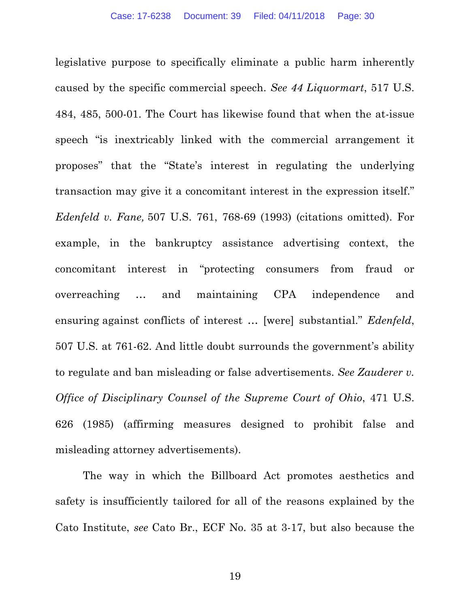legislative purpose to specifically eliminate a public harm inherently caused by the specific commercial speech. *See 44 Liquormart*, 517 U.S. 484, 485, 500-01. The Court has likewise found that when the at-issue speech "is inextricably linked with the commercial arrangement it proposes" that the "State's interest in regulating the underlying transaction may give it a concomitant interest in the expression itself." *Edenfeld v. Fane,* 507 U.S. 761, 768-69 (1993) (citations omitted). For example, in the bankruptcy assistance advertising context, the concomitant interest in "protecting consumers from fraud or overreaching … and maintaining CPA independence and ensuring against conflicts of interest … [were] substantial." *Edenfeld*, 507 U.S. at 761-62. And little doubt surrounds the government's ability to regulate and ban misleading or false advertisements. *See Zauderer v. Office of Disciplinary Counsel of the Supreme Court of Ohio*, 471 U.S. 626 (1985) (affirming measures designed to prohibit false and misleading attorney advertisements).

The way in which the Billboard Act promotes aesthetics and safety is insufficiently tailored for all of the reasons explained by the Cato Institute, *see* Cato Br., ECF No. 35 at 3-17, but also because the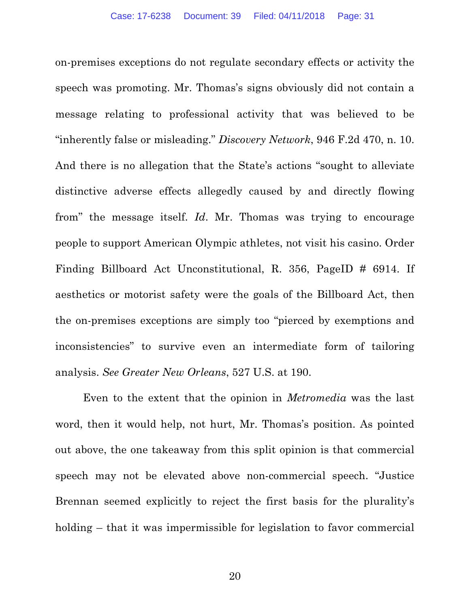on-premises exceptions do not regulate secondary effects or activity the speech was promoting. Mr. Thomas's signs obviously did not contain a message relating to professional activity that was believed to be "inherently false or misleading." *Discovery Network*, 946 F.2d 470, n. 10. And there is no allegation that the State's actions "sought to alleviate distinctive adverse effects allegedly caused by and directly flowing from" the message itself. *Id*. Mr. Thomas was trying to encourage people to support American Olympic athletes, not visit his casino. Order Finding Billboard Act Unconstitutional, R. 356, PageID # 6914. If aesthetics or motorist safety were the goals of the Billboard Act, then the on-premises exceptions are simply too "pierced by exemptions and inconsistencies" to survive even an intermediate form of tailoring analysis. *See Greater New Orleans*, 527 U.S. at 190.

Even to the extent that the opinion in *Metromedia* was the last word, then it would help, not hurt, Mr. Thomas's position. As pointed out above, the one takeaway from this split opinion is that commercial speech may not be elevated above non-commercial speech. "Justice Brennan seemed explicitly to reject the first basis for the plurality's holding – that it was impermissible for legislation to favor commercial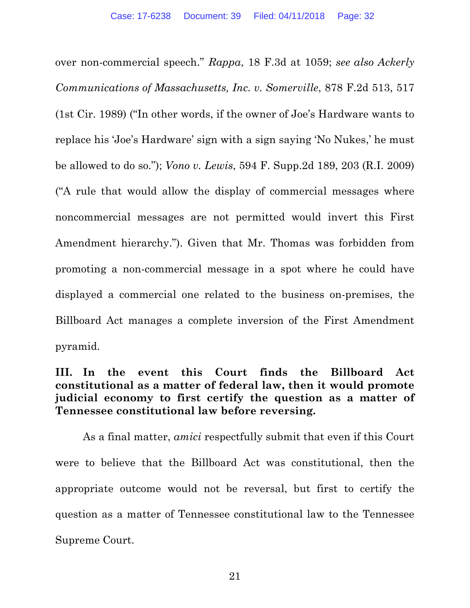over non-commercial speech." *Rappa*, 18 F.3d at 1059; *see also Ackerly Communications of Massachusetts, Inc. v. Somerville*, 878 F.2d 513, 517 (1st Cir. 1989) ("In other words, if the owner of Joe's Hardware wants to replace his 'Joe's Hardware' sign with a sign saying 'No Nukes,' he must be allowed to do so."); *Vono v. Lewis*, 594 F. Supp.2d 189, 203 (R.I. 2009) ("A rule that would allow the display of commercial messages where noncommercial messages are not permitted would invert this First Amendment hierarchy."). Given that Mr. Thomas was forbidden from promoting a non-commercial message in a spot where he could have displayed a commercial one related to the business on-premises, the Billboard Act manages a complete inversion of the First Amendment pyramid.

## **III. In the event this Court finds the Billboard Act constitutional as a matter of federal law, then it would promote judicial economy to first certify the question as a matter of Tennessee constitutional law before reversing.**

As a final matter, *amici* respectfully submit that even if this Court were to believe that the Billboard Act was constitutional, then the appropriate outcome would not be reversal, but first to certify the question as a matter of Tennessee constitutional law to the Tennessee Supreme Court.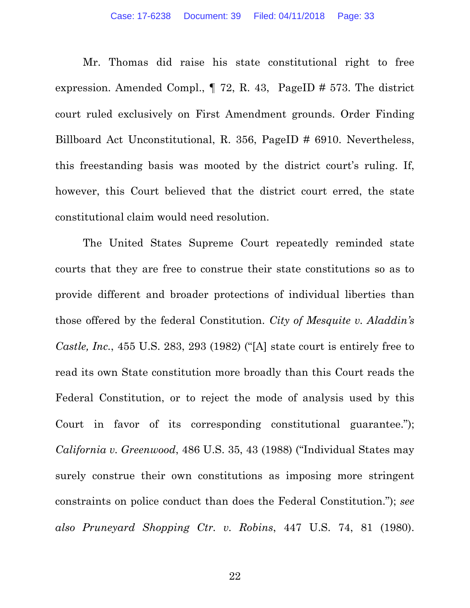Mr. Thomas did raise his state constitutional right to free expression. Amended Compl., ¶ 72, R. 43, PageID # 573. The district court ruled exclusively on First Amendment grounds. Order Finding Billboard Act Unconstitutional, R. 356, PageID # 6910. Nevertheless, this freestanding basis was mooted by the district court's ruling. If, however, this Court believed that the district court erred, the state constitutional claim would need resolution.

The United States Supreme Court repeatedly reminded state courts that they are free to construe their state constitutions so as to provide different and broader protections of individual liberties than those offered by the federal Constitution. *City of Mesquite v. Aladdin's Castle, Inc.*, 455 U.S. 283, 293 (1982) ("[A] state court is entirely free to read its own State constitution more broadly than this Court reads the Federal Constitution, or to reject the mode of analysis used by this Court in favor of its corresponding constitutional guarantee."); *California v. Greenwood*, 486 U.S. 35, 43 (1988) ("Individual States may surely construe their own constitutions as imposing more stringent constraints on police conduct than does the Federal Constitution."); *see also Pruneyard Shopping Ctr. v. Robins*, 447 U.S. 74, 81 (1980).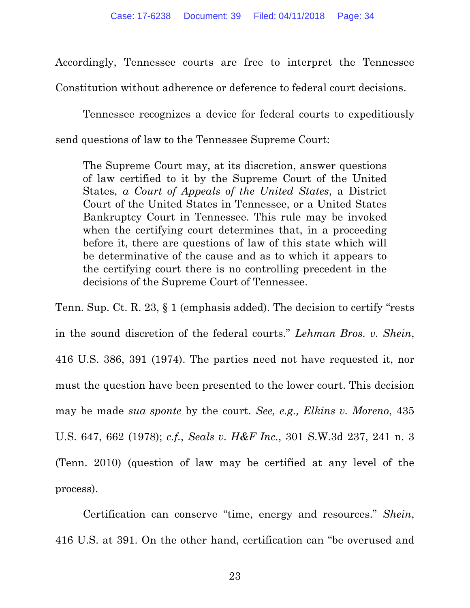Accordingly, Tennessee courts are free to interpret the Tennessee Constitution without adherence or deference to federal court decisions.

Tennessee recognizes a device for federal courts to expeditiously send questions of law to the Tennessee Supreme Court:

The Supreme Court may, at its discretion, answer questions of law certified to it by the Supreme Court of the United States, *a Court of Appeals of the United States*, a District Court of the United States in Tennessee, or a United States Bankruptcy Court in Tennessee. This rule may be invoked when the certifying court determines that, in a proceeding before it, there are questions of law of this state which will be determinative of the cause and as to which it appears to the certifying court there is no controlling precedent in the decisions of the Supreme Court of Tennessee.

Tenn. Sup. Ct. R. 23, § 1 (emphasis added). The decision to certify "rests in the sound discretion of the federal courts." *Lehman Bros. v. Shein*, 416 U.S. 386, 391 (1974). The parties need not have requested it, nor must the question have been presented to the lower court. This decision may be made *sua sponte* by the court. *See, e.g., Elkins v. Moreno*, 435 U.S. 647, 662 (1978); *c.f.*, *Seals v. H&F Inc.*, 301 S.W.3d 237, 241 n. 3 (Tenn. 2010) (question of law may be certified at any level of the process).

Certification can conserve "time, energy and resources." *Shein*, 416 U.S. at 391. On the other hand, certification can "be overused and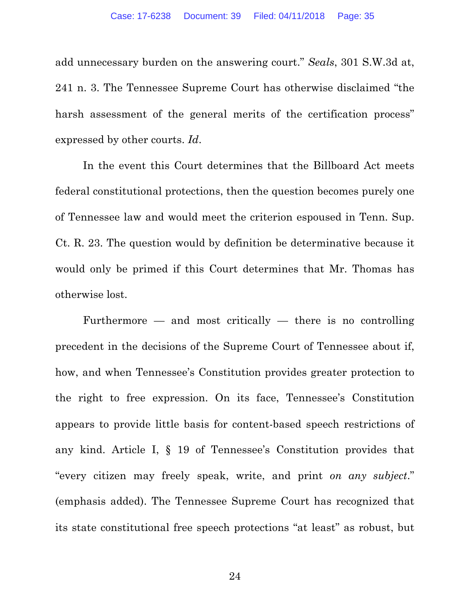add unnecessary burden on the answering court." *Seals*, 301 S.W.3d at, 241 n. 3. The Tennessee Supreme Court has otherwise disclaimed "the harsh assessment of the general merits of the certification process" expressed by other courts. *Id*.

In the event this Court determines that the Billboard Act meets federal constitutional protections, then the question becomes purely one of Tennessee law and would meet the criterion espoused in Tenn. Sup. Ct. R. 23. The question would by definition be determinative because it would only be primed if this Court determines that Mr. Thomas has otherwise lost.

Furthermore  $-$  and most critically  $-$  there is no controlling precedent in the decisions of the Supreme Court of Tennessee about if, how, and when Tennessee's Constitution provides greater protection to the right to free expression. On its face, Tennessee's Constitution appears to provide little basis for content-based speech restrictions of any kind. Article I, § 19 of Tennessee's Constitution provides that "every citizen may freely speak, write, and print *on any subject*." (emphasis added). The Tennessee Supreme Court has recognized that its state constitutional free speech protections "at least" as robust, but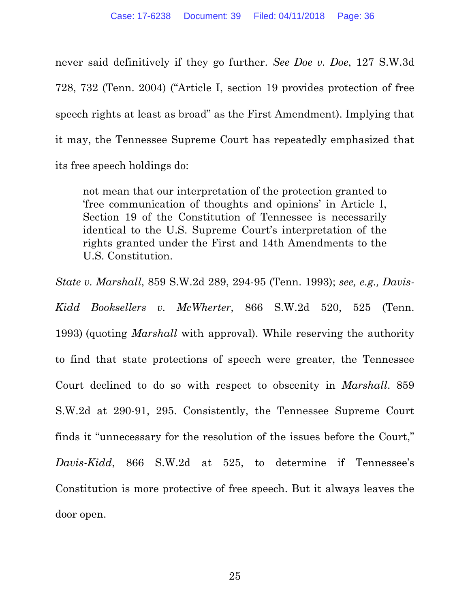never said definitively if they go further. *See Doe v. Doe*, 127 S.W.3d 728, 732 (Tenn. 2004) ("Article I, section 19 provides protection of free speech rights at least as broad" as the First Amendment). Implying that it may, the Tennessee Supreme Court has repeatedly emphasized that its free speech holdings do:

not mean that our interpretation of the protection granted to 'free communication of thoughts and opinions' in Article I, Section 19 of the Constitution of Tennessee is necessarily identical to the U.S. Supreme Court's interpretation of the rights granted under the First and 14th Amendments to the U.S. Constitution.

*State v. Marshall*, 859 S.W.2d 289, 294-95 (Tenn. 1993); *see, e.g., Davis-Kidd Booksellers v. McWherter*, 866 S.W.2d 520, 525 (Tenn. 1993) (quoting *Marshall* with approval). While reserving the authority to find that state protections of speech were greater, the Tennessee Court declined to do so with respect to obscenity in *Marshall*. 859 S.W.2d at 290-91, 295. Consistently, the Tennessee Supreme Court finds it "unnecessary for the resolution of the issues before the Court," *Davis-Kidd*, 866 S.W.2d at 525, to determine if Tennessee's Constitution is more protective of free speech. But it always leaves the door open.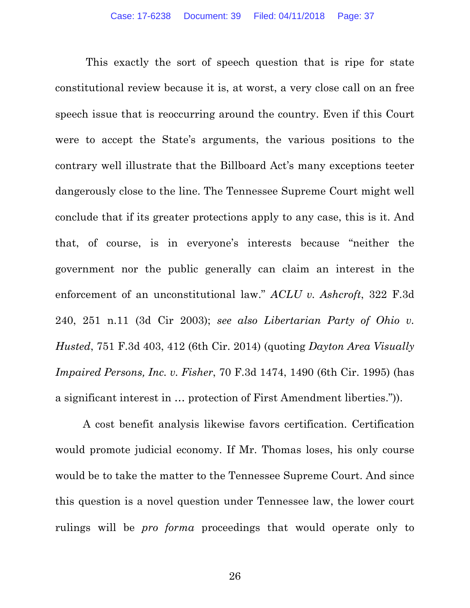This exactly the sort of speech question that is ripe for state constitutional review because it is, at worst, a very close call on an free speech issue that is reoccurring around the country. Even if this Court were to accept the State's arguments, the various positions to the contrary well illustrate that the Billboard Act's many exceptions teeter dangerously close to the line. The Tennessee Supreme Court might well conclude that if its greater protections apply to any case, this is it. And that, of course, is in everyone's interests because "neither the government nor the public generally can claim an interest in the enforcement of an unconstitutional law." *ACLU v. Ashcroft*, 322 F.3d 240, 251 n.11 (3d Cir 2003); *see also Libertarian Party of Ohio v. Husted*, 751 F.3d 403, 412 (6th Cir. 2014) (quoting *Dayton Area Visually Impaired Persons, Inc. v. Fisher*, 70 F.3d 1474, 1490 (6th Cir. 1995) (has a significant interest in … protection of First Amendment liberties.")).

A cost benefit analysis likewise favors certification. Certification would promote judicial economy. If Mr. Thomas loses, his only course would be to take the matter to the Tennessee Supreme Court. And since this question is a novel question under Tennessee law, the lower court rulings will be *pro forma* proceedings that would operate only to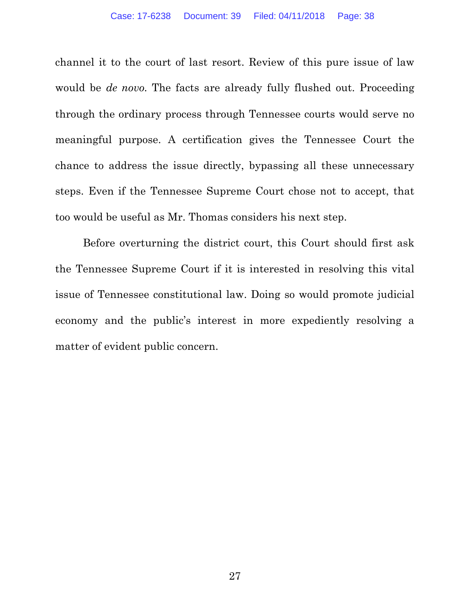channel it to the court of last resort. Review of this pure issue of law would be *de novo.* The facts are already fully flushed out. Proceeding through the ordinary process through Tennessee courts would serve no meaningful purpose. A certification gives the Tennessee Court the chance to address the issue directly, bypassing all these unnecessary steps. Even if the Tennessee Supreme Court chose not to accept, that too would be useful as Mr. Thomas considers his next step.

Before overturning the district court, this Court should first ask the Tennessee Supreme Court if it is interested in resolving this vital issue of Tennessee constitutional law. Doing so would promote judicial economy and the public's interest in more expediently resolving a matter of evident public concern.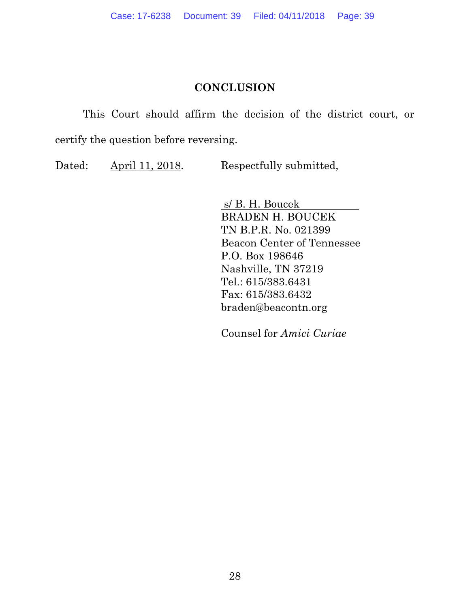## **CONCLUSION**

This Court should affirm the decision of the district court, or certify the question before reversing.

Dated: April 11, 2018. Respectfully submitted,

s/ B. H. Boucek BRADEN H. BOUCEK TN B.P.R. No. 021399 Beacon Center of Tennessee P.O. Box 198646 Nashville, TN 37219 Tel.: 615/383.6431 Fax: 615/383.6432 braden@beacontn.org

Counsel for *Amici Curiae*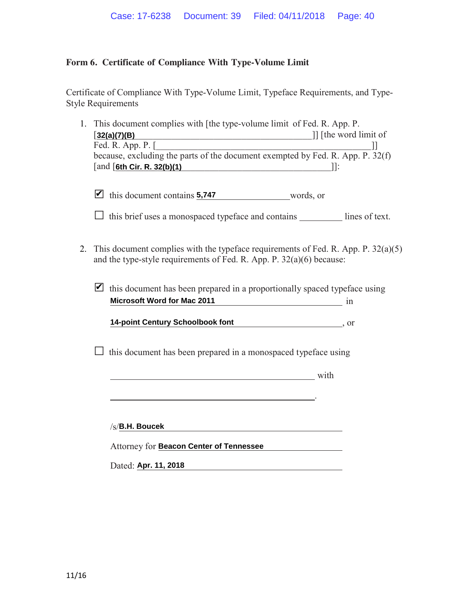#### **Form 6. Certificate of Compliance With Type-Volume Limit**

Certificate of Compliance With Type-Volume Limit, Typeface Requirements, and Type-Style Requirements

| 1. This document complies with [the type-volume limit of Fed. R. App. P.       |
|--------------------------------------------------------------------------------|
| If the word limit of                                                           |
|                                                                                |
| because, excluding the parts of the document exempted by Fed. R. App. P. 32(f) |
|                                                                                |
|                                                                                |

 $\blacksquare$  this document contains  $\frac{5,747}{2}$  words, or

 $\Box$  this brief uses a monospaced typeface and contains lines of text.

- 2. This document complies with the typeface requirements of Fed. R. App. P. 32(a)(5) and the type-style requirements of Fed. R. App. P. 32(a)(6) because:
	- this document has been prepared in a proportionally spaced typeface using in **Microsoft Word for Mac 2011**

, or **14-point Century Schoolbook font**

.

 $\Box$  this document has been prepared in a monospaced typeface using

with the state of the state of the state of the state of the state of the state of the state of the state of the state of the state of the state of the state of the state of the state of the state of the state of the state

 $\sqrt{s}/B$ .H. Boucek /s/<mark>B.H. Boucek</mark><br>Attorney for <mark>Beacon Center of Tennessee</mark>

Dated: **Apr. 11, 2018**